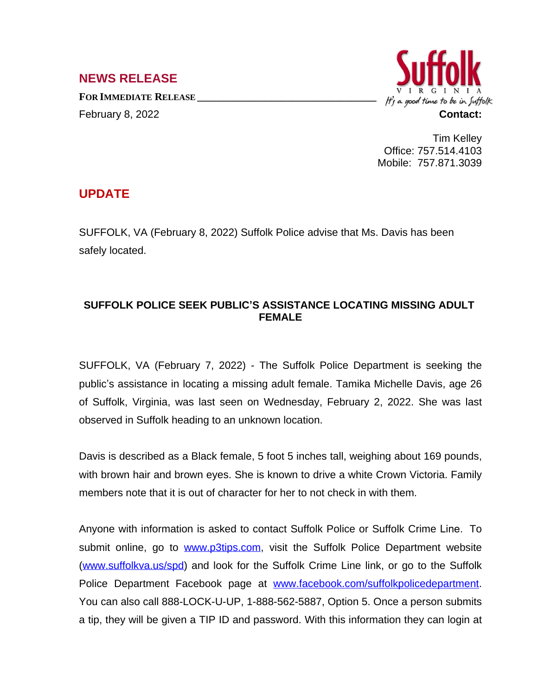## **NEWS RELEASE**

**FOR IMMEDIATE RELEASE \_\_\_\_\_\_\_\_\_\_\_\_\_\_\_\_\_\_\_\_\_\_\_\_\_\_\_\_\_\_\_\_\_\_** February 8, 2022 **Contact:**



Tim Kelley Office: 757.514.4103 Mobile: 757.871.3039

## **UPDATE**

SUFFOLK, VA (February 8, 2022) Suffolk Police advise that Ms. Davis has been safely located.

## **SUFFOLK POLICE SEEK PUBLIC'S ASSISTANCE LOCATING MISSING ADULT FEMALE**

SUFFOLK, VA (February 7, 2022) - The Suffolk Police Department is seeking the public's assistance in locating a missing adult female. Tamika Michelle Davis, age 26 of Suffolk, Virginia, was last seen on Wednesday, February 2, 2022. She was last observed in Suffolk heading to an unknown location.

Davis is described as a Black female, 5 foot 5 inches tall, weighing about 169 pounds, with brown hair and brown eyes. She is known to drive a white Crown Victoria. Family members note that it is out of character for her to not check in with them.

Anyone with information is asked to contact Suffolk Police or Suffolk Crime Line. To submit online, go to [www.p3tips.com,](http://www.p3tips.com) visit the Suffolk Police Department website ([www.suffolkva.us/spd](http://www.suffolkva.us/spd)) and look for the Suffolk Crime Line link, or go to the Suffolk Police Department Facebook page at [www.facebook.com/suffolkpolicedepartment](http://www.facebook.com/suffolkpolicedepartment). You can also call 888-LOCK-U-UP, 1-888-562-5887, Option 5. Once a person submits a tip, they will be given a TIP ID and password. With this information they can login at